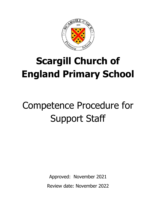

# **Scargill Church of England Primary School**

# Competence Procedure for Support Staff

Approved: November 2021 Review date: November 2022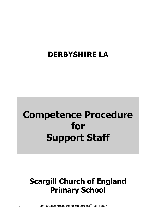### **DERBYSHIRE LA**

## **Competence Procedure for Support Staff**

## **Scargill Church of England Primary School**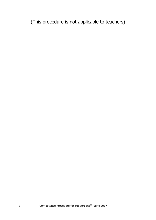(This procedure is not applicable to teachers)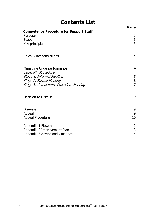### **Contents List**

|                                                                                     | Page                |
|-------------------------------------------------------------------------------------|---------------------|
| <b>Competence Procedure for Support Staff</b><br>Purpose<br>Scope<br>Key principles | 3<br>$\frac{3}{3}$  |
| Roles & Responsibilities                                                            | 4                   |
| Managing Underperformance<br><b>Capability Procedure</b>                            | 4                   |
| Stage 1: Informal Meeting                                                           | 5                   |
| Stage 2: Formal Meeting<br>Stage 3: Competence Procedure Hearing                    | 6<br>$\overline{7}$ |
| <b>Decision to Dismiss</b>                                                          | 9                   |
| <b>Dismissal</b>                                                                    | 9                   |
| Appeal<br><b>Appeal Procedure</b>                                                   | 9<br>10             |
| Appendix 1 Flowchart                                                                | 12                  |
| Appendix 2 Improvement Plan<br>Appendix 3 Advice and Guidance                       | 13<br>14            |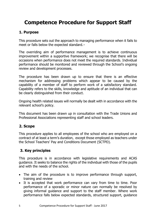### **Competence Procedure for Support Staff**

#### **1. Purpose**

This procedure sets out the approach to managing performance when it fails to meet or falls below the expected standard.

The overriding aim of performance management is to achieve continuous improvement within a supportive framework; we recognise that there will be occasions when performance does not meet the required standards. Individual performance should be monitored and reviewed through the School's ongoing review and development processes.

The procedure has been drawn up to ensure that there is an effective mechanism for addressing problems which appear to be caused by the capability of a member of staff to perform work of a satisfactory standard. Capability refers to the skills, knowledge and aptitude of an individual that can be clearly distinguished from their conduct.

Ongoing health related issues will normally be dealt with in accordance with the relevant school's policy.

This document has been drawn up in consultation with the Trade Unions and Professional Associations representing staff and school leaders.

#### **2. Scope**

This procedure applies to all employees of the school who are employed on a contract of at least a term's duration, except those employed as teachers under the School Teachers' Pay and Conditions Document (SCTPD).

#### **3. Key principles**

This procedure is in accordance with legislative requirements and ACAS guidance. It seeks to balance the rights of the individual with those of the pupils and with the needs of the school.

- The aim of the procedure is to improve performance through support, training and review
- It is accepted that work performance can vary from time to time. Poor performance of a sporadic or minor nature can normally be resolved by giving informal guidance and support to the staff member. Where work performance falls below expected standards, structured support, guidance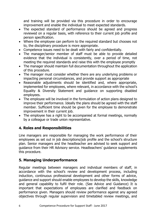and training will be provided via this procedure in order to encourage improvement and enable the individual to meet expected standards.

- The expected standard of performance should be agreed and progress reviewed on a regular basis, with reference to their current job profile and person specification.
- Where the employee can perform to the required standard but chooses not to, the disciplinary procedure is more appropriate.
- Competence issues need to be dealt with fairly and confidentially.
- The manager/senior member of staff must be able to provide detailed evidence that the individual is consistently, over a period of time, not meeting the required standards and raise this with the employee promptly
- The manager should maintain full documentation throughout the application of this procedure.
- The manager must consider whether there are any underlying problems or impacting personal circumstances, and provide support as appropriate
- Reasonable adjustments should be identified and, where appropriate, implemented for employees, where relevant, in accordance with the school's Equality & Diversity Statement and guidance on supporting disabled employees.
- The employee will be involved in the formulation of action plans designed to improve their performance. Ideally the plans should be agreed with the staff member. Sufficient time should be given for the employee to demonstrate improvement in their current job.
- The employee has a right to be accompanied at formal meetings, normally by a colleague or trade union representative.

#### **4. Roles and Responsibilities**

Line managers are responsible for managing the work performance of their employees as set out in job descriptions/job profile and the school's structure plan. Senior managers and the headteacher are advised to seek support and guidance from their HR Advisory service. Headteachers' guidance supplements this procedure.

#### **5. Managing Underperformance**

Regular meetings between managers and individual members of staff, in accordance with the school's review and development process, including induction, continuous professional development and other forms of advice, guidance and support should enable employees to develop the skills, knowledge and general capability to fulfil their role. (See Advice and Guidance) It is important that expectations of employees are clarified and feedback on performance given. Managers should review performance against any agreed objectives through regular supervision and timetabled review meetings, and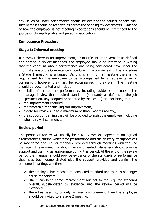any issues of under performance should be dealt at the earliest opportunity. Ideally most should be resolved as part of the ongoing review process. Evidence of how the employee is not meeting expectations should be referenced to the job description/job profile and person specification.

#### **Competence Procedure**

#### **Stage 1: Informal meeting**

If however there is no improvement, or insufficient improvement as defined and agreed in review meetings, the employee should be informed in writing that the concerns about performance are being considered now under the informal stage of the Competence Procedure. In accordance with the procedure a Stage 1 meeting is arranged. As this is an informal meeting there is no requirement for the employee to be accompanied by a representative or companion, however they may be accompanied if they wish. The meeting should be documented and include:

- details of the under- performance, including evidence to support the manager's view that required standards (standards as defined in the job specification, any adopted or adapted by the school) are not being met,
- the improvement required,
- the timescale for achieving this improvement,
- a date for review (up to a maximum of three months review),
- the support or training that will be provided to assist the employee, including when this will commence.

#### **Review period**

The period of review will usually be 6 to 12 weeks, dependent on agreed circumstances, during which time performance and the delivery of support will be monitored and regular feedback provided through meetings with the line manager. These meetings should be documented. Managers should provide support and training as appropriate during this period. At the end of the review period the manager should provide evidence of the standards of performance that have been demonstrated plus the support provided and confirm the outcome in writing, whether:

- (1) the employee has reached the expected standard and there is no longer cause for concern,
- (2) there has been some improvement but not to the required standard overall, substantiated by evidence, and the review period will be extended,
- (3) there has been no, or only minimal, improvement, then the employee should be invited to a Stage 2 meeting.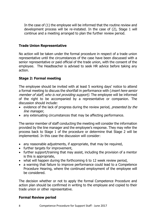In the case of (1) the employee will be informed that the routine review and development process will be re-instated. In the case of (2), Stage 1 will continue and a meeting arranged to plan the further review period.

#### **Trade Union Representative**

No action will be taken under the formal procedure in respect of a trade union representative until the circumstances of the case have been discussed with a senior representative or paid official of the trade union, with the consent of the employee. The Headteacher is advised to seek HR advice before taking any action.

#### **Stage 2: Formal meeting**

The employee should be invited with at least 5 working days' notice to attend a formal meeting to discuss the shortfall in performance with (*insert here senior* member of staff, who is not providing support). The employee will be informed of the right to be accompanied by a representative or companion. The discussion should include:

- evidence of the lack of progress during the review period, presented by the line manager,
- any extenuating circumstances that may be affecting performance.

The senior member of staff conducting the meeting will consider the information provided by the line manager and the employee's response. They may refer the process back to Stage 1 of the procedure or determine that Stage 2 will be implemented. In this case the discussion will consider:

- any reasonable adjustments, if appropriate, that may be required,
- further targets for improvement,
- further support/training that may assist, including the provision of a mentor is this is appropriate,
- what will happen during the forthcoming 6 to 12 week review period,
- a warning that failure to improve performance could lead to a Competence Procedure Hearing, where the continued employment of the employee will be considered.

The decision whether or not to apply the formal Competence Procedure and action plan should be confirmed in writing to the employee and copied to their trade union or other representative.

#### **Formal Review period**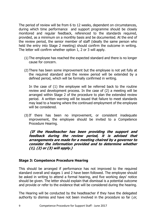The period of review will be from 6 to 12 weeks, dependent on circumstances, during which time performance and support programme should be closely monitored and regular feedback, referenced to the standards required, provided, as a minimum on a monthly basis and be documented. At the end of the review period, the senior member of staff (ideally the same person who held the entry into Stage 2 meeting) should confirm the outcome in writing. The letter will confirm whether option 1, 2 or 3 will apply.

- (1) The employee has reached the expected standard and there is no longer cause for concern.
- (2) There has been some improvement but the employee is not yet fully at the required standard and the review period will be extended by a defined period, which will be formally confirmed in writing.

In the case of (1) the employee will be referred back to the routine review and development process. In the case of (2) a meeting will be arranged within Stage 2 of the procedure to plan the extended review period. A written warning will be issued that failure to meet standards may lead to a hearing where the continued employment of the employee will be considered.

(3)If there has been no improvement, or consistent inadequate improvement, the employee should be invited to a Competence Procedure Hearing.

**(If the Headteacher has been providing the support and feedback during the review period, it is advised that arrangements are made for a meeting chaired by a governor to consider the information provided and to determine whether (1), (2) or (3) will apply.)** 

#### **Stage 3: Competence Procedure Hearing**

This should be arranged if performance has not improved to the required standard overall and stages 1 and 2 have been followed. The employee should be asked in writing to attend a formal hearing, and five working days' notice should be given. The letter should explain that dismissal is a potential outcome and provide or refer to the evidence that will be considered during the hearing.

The Hearing will be conducted by the headteacher if they have the delegated authority to dismiss and have not been involved in the procedure so far (or,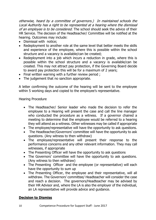otherwise, heard by a committee of governors.) In maintained schools the Local Authority has a right to be represented at a hearing where the dismissal of an employee is to be considered. The school should seek the advice of their HR Service. The decision of the Headteacher/ Committee will be notified at the hearing. Outcomes may include:

- Dismissal with notice;
- Redeployment to another role at the same level that better meets the skills and experience of the employee, where this is possible within the school structure and a vacancy is available/can be created;
- Redeployment into a job which incurs a reduction in grade, where this is possible within the school structure and a vacancy is available/can be created. This may not attract pay protection, if the Governing Board decide to award pay protection this will be for a maximum of 2 years;
- Final written warning with a further review period ;
- The judgement that no sanction appropriate.

A letter confirming the outcome of the hearing will be sent to the employee within 5 working days and copied to the employee's representative.

Hearing Procedure

- The Headteacher/ Senior leader who made the decision to refer the employee to a Hearing will present the case and call the line manager who conducted the procedure as a witness. If a governor chaired a meeting to determine that the employee would be referred to a hearing they will attend as a witness. Other witnesses may be called if appropriate
- The employee/representative will have the opportunity to ask questions.
- The Headteacher/Governors' committee will have the opportunity to ask questions. (Any witness to then withdraw)
- The employee/representative will present their response to the performance concerns and any other relevant information. They may call witnesses, if appropriate
- The Presenting Officer will have the opportunity to ask questions
- The Governors' committee will have the opportunity to ask questions. (Any witness to then withdraw)
- The Presenting Officer and the employee (or representative) will each have the opportunity to sum up
- The Presenting Officer, the employee and their representative, will all withdraw. The Governors' committee/ Headteacher will consider the case and reach a decision. The governors/Headteacher may be advised by their HR Advisor and, where the LA is also the employer of the individual, an LA representative will provide advice and guidance.

#### **Decision to Dismiss**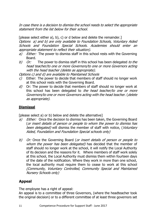In case there is a decision to dismiss the school needs to select the appropriate statement from the list below for their school.

[please select either a), b), c) or d below and delete the remainder.] Options a) and b) are only available to Foundation Schools, Voluntary Aided Schools and Foundation Special Schools. Academies should enter an appropriate statement to reflect their situation).

- a) Either: The power to dismiss staff in this school rests with the Governing Board.
- b) Or: The power to dismiss staff in this school has been delegated to the head teacher/to one or more Governors/to one or more Governors acting with the head teacher (delete as appropriate).

Options c) and d) are available to Maintained Schools

- $c$ ) Either: The power to decide that members of staff should no longer work at this school rests with the Governing Board.
- $d$ ) Or: The power to decide that members of staff should no longer work at this school has been delegated to the head teacher/to one or more Governors/to one or more Governors acting with the head teacher. (delete as appropriate).

#### **Dismissal**

[please select a) or b) below and delete the alternative]

- a) Either: Once the decision to dismiss has been taken, the Governing Board (or insert details of person or people to whom the power to dismiss has been delegated) will dismiss the member of staff with notice, (Voluntary Aided, Foundation and Foundation Special schools only)
- b) Or: Once the Governing Board (or insert details of person or people to whom the power has been delegated) has decided that the member of staff should no longer work at the school, it will notify the Local Authority of its decision and the reasons for it.Where members of staff work solely at this school, the Local Authority must dismiss them within fourteen days of the date of the notification. Where they work in more than one school, the local authority must require them to cease to work at this school (Community, Voluntary Controlled, Community Special and Maintained Nursery Schools only)

#### **Appeal**

The employee has a right of appeal:

An appeal is to a committee of three Governors, (where the headteacher took the original decision) or to a different committee of at least three governors set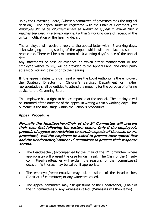up by the Governing Board, (where a committee of governors took the original decision). The appeal must be registered with the Chair of Governors *(the* employee should be informed where to submit an appeal to ensure that it reaches the Chair in a timely manner) within 5 working days of receipt of the written notification of the hearing decision.

The employee will receive a reply to the appeal letter within 5 working days, acknowledging the registering of the appeal which will take place as soon as practicable. There will be a minimum of 10 working days' notice of the appeal date.

Any statements of case or evidence on which either management or the employee wishes to rely, will be provided to the Appeal Panel and other party at least 5 working days prior to the hearing.

If the appeal relates to a dismissal where the Local Authority is the employer, the Strategic Director for Children's Services Department or his/her representative shall be entitled to attend the meeting for the purpose of offering advice to the Governing Board.

The employee has a right to be accompanied at the appeal. The employee will be informed of the outcome of the appeal in writing within 5 working days. That outcome is the final stage within the School's procedures.

#### **Appeal Procedure**

**Normally the Headteacher/Chair of the 1 st Committee will present their case first following the pattern below. Only if the employee's grounds of appeal are restricted to certain aspects of the case, or are procedural, will the employee be asked to present their appeal first and the Headteacher/Chair of 1 st committee to present their response second.**

- The Headteacher, (accompanied by the Chair of the  $1<sup>st</sup>$  committee, where appropriate) will present the case for dismissal. The Chair of the  $1<sup>st</sup>$  subcommittee/Headteacher will explain the reasons for the (committee's) decision. Witnesses may be called, if appropriate
- The employee/representative may ask questions of the Headteacher, (Chair of 1st committee) or any witnesses called.
- The Appeal committee may ask questions of the Headteacher, (Chair of the  $1<sup>st</sup>$  committee) or any witnesses called. (Witnesses will then leave)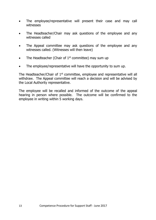- The employee/representative will present their case and may call witnesses
- The Headteacher/Chair may ask questions of the employee and any witnesses called
- The Appeal committee may ask questions of the employee and any witnesses called. (Witnesses will then leave)
- The Headteacher (Chair of  $1<sup>st</sup>$  committee) may sum up
- The employee/representative will have the opportunity to sum up.

The Headteacher/Chair of  $1<sup>st</sup>$  committee, employee and representative will all withdraw. The Appeal committee will reach a decision and will be advised by the Local Authority representative.

The employee will be recalled and informed of the outcome of the appeal hearing in person where possible. The outcome will be confirmed to the employee in writing within 5 working days.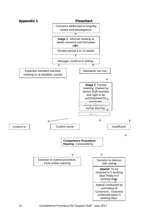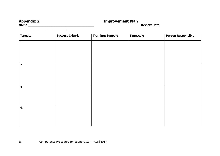#### **Appendix 2 Improvement Plan**

 $\frac{1}{2}$  ,  $\frac{1}{2}$  ,  $\frac{1}{2}$  ,  $\frac{1}{2}$  ,  $\frac{1}{2}$  ,  $\frac{1}{2}$  ,  $\frac{1}{2}$  ,  $\frac{1}{2}$  ,  $\frac{1}{2}$  ,  $\frac{1}{2}$  ,  $\frac{1}{2}$  ,  $\frac{1}{2}$  ,  $\frac{1}{2}$  ,  $\frac{1}{2}$  ,  $\frac{1}{2}$  ,  $\frac{1}{2}$  ,  $\frac{1}{2}$  ,  $\frac{1}{2}$  ,  $\frac{1$ 

**Name** \_\_\_\_\_\_\_\_\_\_\_\_\_\_\_\_\_\_\_\_\_\_\_\_\_\_\_\_\_\_\_\_\_\_\_\_\_\_\_\_\_\_ **Review Date** 

| <b>Targets</b> | <b>Success Criteria</b> | <b>Training/Support</b> | <b>Timescale</b> | <b>Person Responsible</b> |
|----------------|-------------------------|-------------------------|------------------|---------------------------|
| 1.             |                         |                         |                  |                           |
|                |                         |                         |                  |                           |
|                |                         |                         |                  |                           |
|                |                         |                         |                  |                           |
| 2.             |                         |                         |                  |                           |
|                |                         |                         |                  |                           |
|                |                         |                         |                  |                           |
|                |                         |                         |                  |                           |
| 3.             |                         |                         |                  |                           |
|                |                         |                         |                  |                           |
|                |                         |                         |                  |                           |
| 4.             |                         |                         |                  |                           |
|                |                         |                         |                  |                           |
|                |                         |                         |                  |                           |
|                |                         |                         |                  |                           |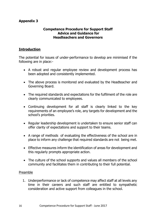#### **Appendix 3**

#### **Competence Procedure for Support Staff Advice and Guidance for Headteachers and Governors**

#### **Introduction**

The potential for issues of under-performance to develop are minimised if the following are in place:-

- A robust and regular employee review and development process has been adopted and consistently implemented.
- The above process is monitored and evaluated by the Headteacher and Governing Board.
- The required standards and expectations for the fulfilment of the role are clearly communicated to employees.
- Continuing development for all staff is clearly linked to the key requirements of an employee's role, any targets for development and the school's priorities.
- Regular leadership development is undertaken to ensure senior staff can offer clarity of expectations and support to their teams.
- A range of methods of evaluating the effectiveness of the school are in place to inform any challenge that required standards are not being met.
- Effective measures inform the identification of areas for development and this regularly prompts appropriate action.
- The culture of the school supports and values all members of the school community and facilitates them in contributing to their full potential.

#### Preamble

1. Underperformance or lack of competence may affect staff at all levels any time in their careers and such staff are entitled to sympathetic consideration and active support from colleagues in the school.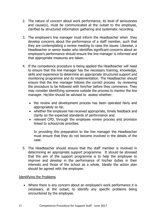- 2. The nature of concern about work performance, its level of seriousness and cause(s), must be communicated at the outset to the employee, clarified by structured information gathering and systematic recording.
- 3. The employee's line manager must inform the Headteacher when they develop concerns about the performance of a staff member, such that they are contemplating a review meeting to raise the issues. Likewise, a Headteacher or senior leader who identifies significant concerns about an employee's performance should ensure the line manager is informed and that appropriate measures are taken.
- 4. If the competence procedure is being applied the Headteacher will need to ensure that the line manager has the necessary training, knowledge, skills and experience to determine an appropriate structured support and monitoring programme and its implementation. The Headteacher should ensure that the line manager follows the correct process by reviewing the procedure to be followed with him/her before they commence. They may consider identifying someone outside the process to mentor the line manager. He/she should be advised to assess whether:
	- the review and development process has been operated fairly and appropriately so far,
	- whether the employee has received appropriate, timely feedback and clarity on the expected standards of performance and
	- relevant CPD, through the employee review process and provision linked to school/role priorities.

In providing this preparation to the line manager the Headteacher must ensure that they do not become involved in the details of the case.

5. The Headteacher should ensure that the staff member is involved in determining an appropriate support programme. It should be stressed that the aim of the support programme is to help the employee to improve and develop in the performance of his/her duties in their interests and those of the school as a whole. Ideally the action plan should be agreed with the employee.

#### Identifying the Problems

• Where there is any concern about an employee's work performance it is necessary, at the outset, to identify any specific problems being encountered by the employee.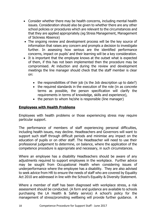- Consider whether there may be health concerns, including mental health issues. Consideration should also be given to whether there are any other school policies or procedures which are relevant to the circumstances and that they are applied appropriately.(eg Stress Management, Management of Sickness Absence)
- The ongoing review and development process will be the key source of information that raises any concern and prompts a decision to investigate further. In assessing how serious are the identified performance concerns, impact on pupils' and their learning will be a key consideration.
- It is important that the employee knows at the outset what is expected of them, if this has not been implemented then the procedure may be compromised. At induction and during the review and development meetings the line manager should check that the staff member is clear on:
	- the responsibilities of their job (is the Job description up to date?)
	- the required standards in the execution of the role (in as concrete terms as possible, the person specification will clarify the requirements in terms of knowledge, skills and experience),
	- the person to whom he/she is responsible (line manager)

#### **Employees with Health Problems**

Employees with health problems or those experiencing stress may require particular support.

The performance of members of staff experiencing personal difficulties, including health issues, may decline. Headteachers and Governors will want to support such staff through difficult periods and minimise any impact on the education of pupils or on other staff. The Headteacher will need to use their professional judgement to determine, on balance, where the application of the competence procedure is appropriate and necessary, in such circumstances.

Where an employee has a disability Headteachers should be aware of any adjustments required to support employees in the workplace. Further advice may be sought from Occupational Health when considering issues of underperformance where the employee has a disability. They are also advised to seek advice from HR to ensure the needs of staff who are covered by Equality Act 2010 are addressed in line with the School's Equality & Diversity Statement.

Where a member of staff has been diagnosed with workplace stress, a risk assessment should be conducted. (A form and guidance are available to schools purchasing the LA Health & Safety service) A school's policy for the management of stress/promoting wellbeing will provide further guidance. A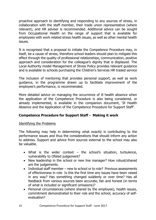proactive approach to identifying and responding to any sources of stress, in collaboration with the staff member, their trade union representative (where relevant), and HR adviser is recommended. Additional advice can be sought from Occupational Health on the range of support that is available for employees with work related stress health issues, as well as other mental health issues.

It is recognised that a proposal to initiate the Competence Procedure may, in itself, be a cause of stress, therefore school leaders should plan to mitigate this effect through the quality of professional relationships, communication, positive approach and consideration for the colleague's dignity that is displayed. The Local Authority model Management of Stress Policy provides relevant guidance and is available to schools purchasing the Children's Services HR traded service

The inclusion of mentoring that provides personal support, as well as work guidance, in the programme drawn up to facilitate improvement of the employee's performance, is recommended.

More detailed advice on managing the occurrence of ill health absence when the application of the Competence Procedure is also being considered, or already implemented, is available in the companion document, 'Ill Health Absence and the Application of the Competence Procedure for Support Staff'.

#### **Competence Procedure for Support Staff - Making it work**

#### Identifying the Problems

The following may help in determining what exactly is contributing to the performance issues and thus the considerations that should inform any action to address. Support and advice from sources external to the school may also be valuable.

- What is the wider context  $-$  the school's situation, turbulence, vulnerability to Ofsted judgement?
- New leadership in the school or new line manager? How robust/shared are the judgements.
- Individual staff member new to school or to role? Previous assessments of effectiveness in role Is this the first time any issues have been raised in any way? Has something changed suddenly or over time? Has all feedback from various sources been accurate, fair and honest (in terms of what is included or significant omissions)?
- Personal circumstances (where shared by the employee), health issues, commitment demonstrated to their role and the school, accuracy of selfevaluation?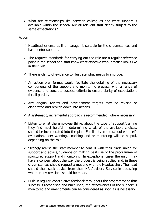• What are relationships like between colleagues and what support is available within the school? Are all relevant staff clearly subject to the same expectations?

#### Action

- $\checkmark$  Headteacher ensures line manager is suitable for the circumstances and has mentor support.
- $\checkmark$  The required standards for carrying out the role are a regular reference point in the school and staff know what effective work practice looks like in their role.
- $\checkmark$  There is clarity of evidence to illustrate what needs to improve.
- $\checkmark$  An action plan format would facilitate the detailing of the necessary components of the support and monitoring process, with a range of evidence and concrete success criteria to ensure clarity of expectations for all parties.
- $\checkmark$  Any original review and development targets may be revised or elaborated and broken down into actions.
- $\checkmark$  A systematic, incremental approach is recommended, where necessary.
- $\checkmark$  Listen to what the employee thinks about the type of support/training they find most helpful in determining what, of the available choices, should be incorporated into the plan. Familiarity in the school with selfevaluation, peer working, coaching and or mentoring will be helpful, depending on the role.
- $\checkmark$  Strongly advise the staff member to consult with their trade union for support and advice/guidance on making best use of the programme of structured support and monitoring. In exceptional cases the union may have a concern about the way the process is being applied and, in these circumstances should request a meeting with the Headteacher. The head should then seek advice from their HR Advisory Service in assessing whether any revisions should be made.
- $\checkmark$  Build in regular, constructive feedback throughout the programme so that success is recognised and built upon, the effectiveness of the support is monitored and amendments can be considered as soon as is necessary.